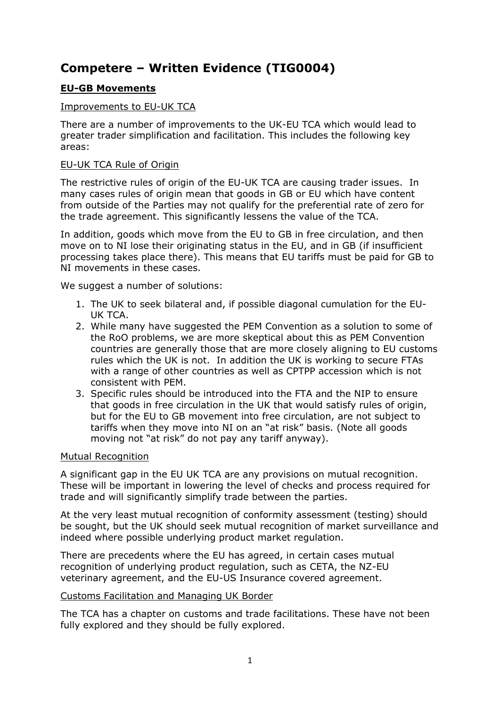# **Competere – Written Evidence (TIG0004)**

# **EU-GB Movements**

## Improvements to EU-UK TCA

There are a number of improvements to the UK-EU TCA which would lead to greater trader simplification and facilitation. This includes the following key areas:

### EU-UK TCA Rule of Origin

The restrictive rules of origin of the EU-UK TCA are causing trader issues. In many cases rules of origin mean that goods in GB or EU which have content from outside of the Parties may not qualify for the preferential rate of zero for the trade agreement. This significantly lessens the value of the TCA.

In addition, goods which move from the EU to GB in free circulation, and then move on to NI lose their originating status in the EU, and in GB (if insufficient processing takes place there). This means that EU tariffs must be paid for GB to NI movements in these cases.

We suggest a number of solutions:

- 1. The UK to seek bilateral and, if possible diagonal cumulation for the EU-UK TCA.
- 2. While many have suggested the PEM Convention as a solution to some of the RoO problems, we are more skeptical about this as PEM Convention countries are generally those that are more closely aligning to EU customs rules which the UK is not. In addition the UK is working to secure FTAs with a range of other countries as well as CPTPP accession which is not consistent with PEM.
- 3. Specific rules should be introduced into the FTA and the NIP to ensure that goods in free circulation in the UK that would satisfy rules of origin, but for the EU to GB movement into free circulation, are not subject to tariffs when they move into NI on an "at risk" basis. (Note all goods moving not "at risk" do not pay any tariff anyway).

#### Mutual Recognition

A significant gap in the EU UK TCA are any provisions on mutual recognition. These will be important in lowering the level of checks and process required for trade and will significantly simplify trade between the parties.

At the very least mutual recognition of conformity assessment (testing) should be sought, but the UK should seek mutual recognition of market surveillance and indeed where possible underlying product market regulation.

There are precedents where the EU has agreed, in certain cases mutual recognition of underlying product regulation, such as CETA, the NZ-EU veterinary agreement, and the EU-US Insurance covered agreement.

#### Customs Facilitation and Managing UK Border

The TCA has a chapter on customs and trade facilitations. These have not been fully explored and they should be fully explored.